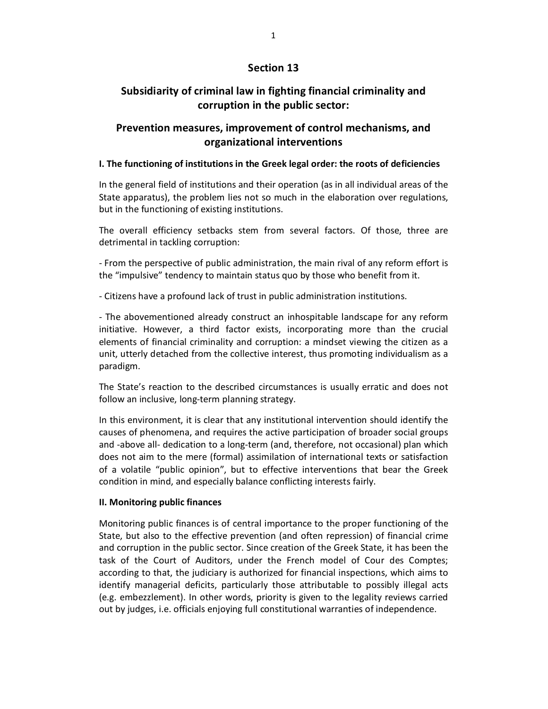## **Section 13**

# **Subsidiarity of criminal law in fighting financial criminality and corruption in the public sector:**

## **Prevention measures, improvement of control mechanisms, and organizational interventions**

#### **I. The functioning of institutions in the Greek legal order: the roots of deficiencies**

In the general field of institutions and their operation (as in all individual areas of the State apparatus), the problem lies not so much in the elaboration over regulations, but in the functioning of existing institutions.

The overall efficiency setbacks stem from several factors. Of those, three are detrimental in tackling corruption:

- From the perspective of public administration, the main rival of any reform effort is the "impulsive" tendency to maintain status quo by those who benefit from it.

- Citizens have a profound lack of trust in public administration institutions.

- The abovementioned already construct an inhospitable landscape for any reform initiative. However, a third factor exists, incorporating more than the crucial elements of financial criminality and corruption: a mindset viewing the citizen as a unit, utterly detached from the collective interest, thus promoting individualism as a paradigm.

The State's reaction to the described circumstances is usually erratic and does not follow an inclusive, long-term planning strategy.

In this environment, it is clear that any institutional intervention should identify the causes of phenomena, and requires the active participation of broader social groups and -above all- dedication to a long-term (and, therefore, not occasional) plan which does not aim to the mere (formal) assimilation of international texts or satisfaction of a volatile "public opinion", but to effective interventions that bear the Greek condition in mind, and especially balance conflicting interests fairly.

## **II. Monitoring public finances**

Monitoring public finances is of central importance to the proper functioning of the State, but also to the effective prevention (and often repression) of financial crime and corruption in the public sector. Since creation of the Greek State, it has been the task of the Court of Auditors, under the French model of Cour des Comptes; according to that, the judiciary is authorized for financial inspections, which aims to identify managerial deficits, particularly those attributable to possibly illegal acts (e.g. embezzlement). In other words, priority is given to the legality reviews carried out by judges, i.e. officials enjoying full constitutional warranties of independence.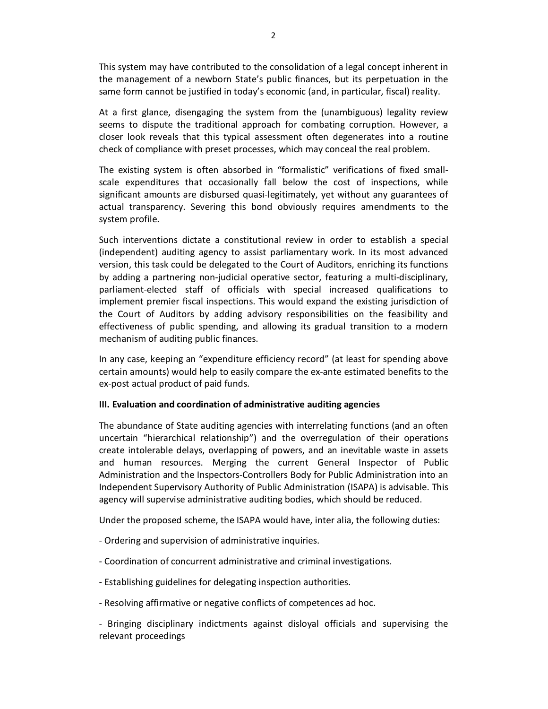This system may have contributed to the consolidation of a legal concept inherent in the management of a newborn State's public finances, but its perpetuation in the same form cannot be justified in today's economic (and, in particular, fiscal) reality.

At a first glance, disengaging the system from the (unambiguous) legality review seems to dispute the traditional approach for combating corruption. However, a closer look reveals that this typical assessment often degenerates into a routine check of compliance with preset processes, which may conceal the real problem.

The existing system is often absorbed in "formalistic" verifications of fixed smallscale expenditures that occasionally fall below the cost of inspections, while significant amounts are disbursed quasi-legitimately, yet without any guarantees of actual transparency. Severing this bond obviously requires amendments to the system profile.

Such interventions dictate a constitutional review in order to establish a special (independent) auditing agency to assist parliamentary work. In its most advanced version, this task could be delegated to the Court of Auditors, enriching its functions by adding a partnering non-judicial operative sector, featuring a multi-disciplinary, parliament-elected staff of officials with special increased qualifications to implement premier fiscal inspections. This would expand the existing jurisdiction of the Court of Auditors by adding advisory responsibilities on the feasibility and effectiveness of public spending, and allowing its gradual transition to a modern mechanism of auditing public finances.

In any case, keeping an "expenditure efficiency record" (at least for spending above certain amounts) would help to easily compare the ex-ante estimated benefits to the ex-post actual product of paid funds.

#### **III. Evaluation and coordination of administrative auditing agencies**

The abundance of State auditing agencies with interrelating functions (and an often uncertain "hierarchical relationship") and the overregulation of their operations create intolerable delays, overlapping of powers, and an inevitable waste in assets and human resources. Merging the current General Inspector of Public Administration and the Inspectors-Controllers Body for Public Administration into an Independent Supervisory Authority of Public Administration (ISAPA) is advisable. This agency will supervise administrative auditing bodies, which should be reduced.

Under the proposed scheme, the ISAPA would have, inter alia, the following duties:

- Ordering and supervision of administrative inquiries.
- Coordination of concurrent administrative and criminal investigations.
- Establishing guidelines for delegating inspection authorities.
- Resolving affirmative or negative conflicts of competences ad hoc.

- Bringing disciplinary indictments against disloyal officials and supervising the relevant proceedings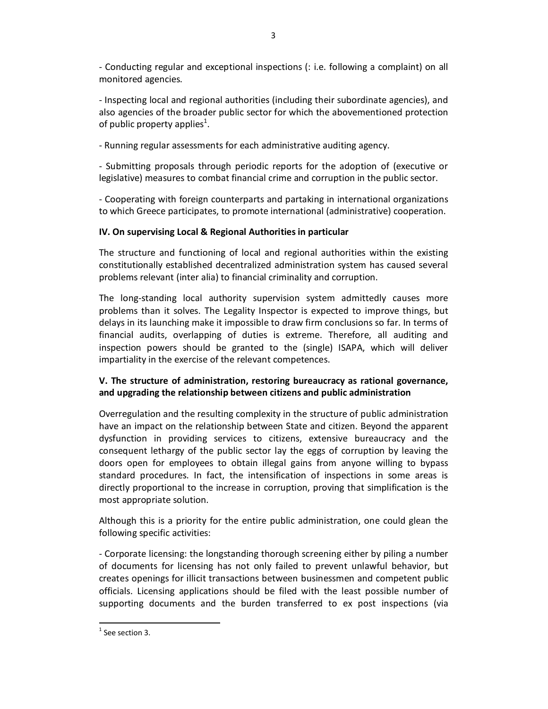- Conducting regular and exceptional inspections (: i.e. following a complaint) on all monitored agencies.

3

- Inspecting local and regional authorities (including their subordinate agencies), and also agencies of the broader public sector for which the abovementioned protection of public property applies<sup>1</sup>.

- Running regular assessments for each administrative auditing agency.

- Submitting proposals through periodic reports for the adoption of (executive or legislative) measures to combat financial crime and corruption in the public sector.

- Cooperating with foreign counterparts and partaking in international organizations to which Greece participates, to promote international (administrative) cooperation.

### **IV. On supervising Local & Regional Authorities in particular**

The structure and functioning of local and regional authorities within the existing constitutionally established decentralized administration system has caused several problems relevant (inter alia) to financial criminality and corruption.

The long-standing local authority supervision system admittedly causes more problems than it solves. The Legality Inspector is expected to improve things, but delays in its launching make it impossible to draw firm conclusions so far. In terms of financial audits, overlapping of duties is extreme. Therefore, all auditing and inspection powers should be granted to the (single) ISAPA, which will deliver impartiality in the exercise of the relevant competences.

### **V. The structure of administration, restoring bureaucracy as rational governance, and upgrading the relationship between citizens and public administration**

Overregulation and the resulting complexity in the structure of public administration have an impact on the relationship between State and citizen. Beyond the apparent dysfunction in providing services to citizens, extensive bureaucracy and the consequent lethargy of the public sector lay the eggs of corruption by leaving the doors open for employees to obtain illegal gains from anyone willing to bypass standard procedures. In fact, the intensification of inspections in some areas is directly proportional to the increase in corruption, proving that simplification is the most appropriate solution.

Although this is a priority for the entire public administration, one could glean the following specific activities:

- Corporate licensing: the longstanding thorough screening either by piling a number of documents for licensing has not only failed to prevent unlawful behavior, but creates openings for illicit transactions between businessmen and competent public officials. Licensing applications should be filed with the least possible number of supporting documents and the burden transferred to ex post inspections (via

 $\overline{a}$  $<sup>1</sup>$  See section 3.</sup>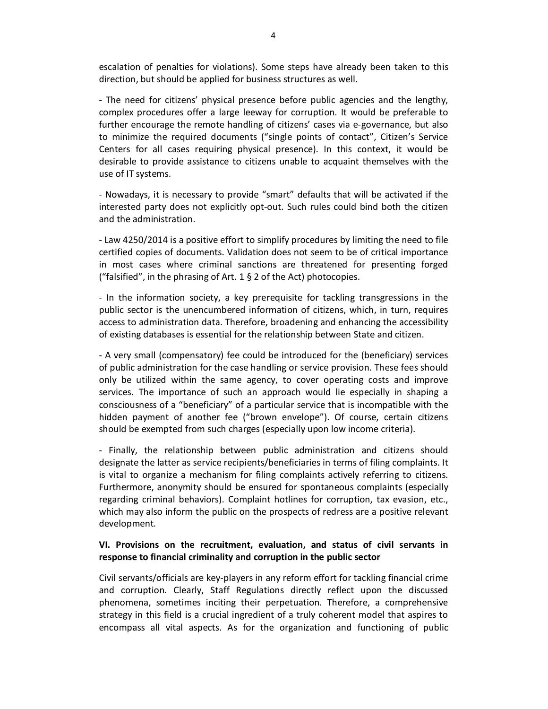escalation of penalties for violations). Some steps have already been taken to this direction, but should be applied for business structures as well.

- The need for citizens' physical presence before public agencies and the lengthy, complex procedures offer a large leeway for corruption. It would be preferable to further encourage the remote handling of citizens' cases via e-governance, but also to minimize the required documents ("single points of contact", Citizen's Service Centers for all cases requiring physical presence). In this context, it would be desirable to provide assistance to citizens unable to acquaint themselves with the use of IT systems.

- Nowadays, it is necessary to provide "smart" defaults that will be activated if the interested party does not explicitly opt-out. Such rules could bind both the citizen and the administration.

- Law 4250/2014 is a positive effort to simplify procedures by limiting the need to file certified copies of documents. Validation does not seem to be of critical importance in most cases where criminal sanctions are threatened for presenting forged ("falsified", in the phrasing of Art.  $1 \S 2$  of the Act) photocopies.

- In the information society, a key prerequisite for tackling transgressions in the public sector is the unencumbered information of citizens, which, in turn, requires access to administration data. Therefore, broadening and enhancing the accessibility of existing databases is essential for the relationship between State and citizen.

- A very small (compensatory) fee could be introduced for the (beneficiary) services of public administration for the case handling or service provision. These fees should only be utilized within the same agency, to cover operating costs and improve services. The importance of such an approach would lie especially in shaping a consciousness of a "beneficiary" of a particular service that is incompatible with the hidden payment of another fee ("brown envelope"). Of course, certain citizens should be exempted from such charges (especially upon low income criteria).

- Finally, the relationship between public administration and citizens should designate the latter as service recipients/beneficiaries in terms of filing complaints. It is vital to organize a mechanism for filing complaints actively referring to citizens. Furthermore, anonymity should be ensured for spontaneous complaints (especially regarding criminal behaviors). Complaint hotlines for corruption, tax evasion, etc., which may also inform the public on the prospects of redress are a positive relevant development.

#### **VI. Provisions on the recruitment, evaluation, and status of civil servants in response to financial criminality and corruption in the public sector**

Civil servants/officials are key-players in any reform effort for tackling financial crime and corruption. Clearly, Staff Regulations directly reflect upon the discussed phenomena, sometimes inciting their perpetuation. Therefore, a comprehensive strategy in this field is a crucial ingredient of a truly coherent model that aspires to encompass all vital aspects. As for the organization and functioning of public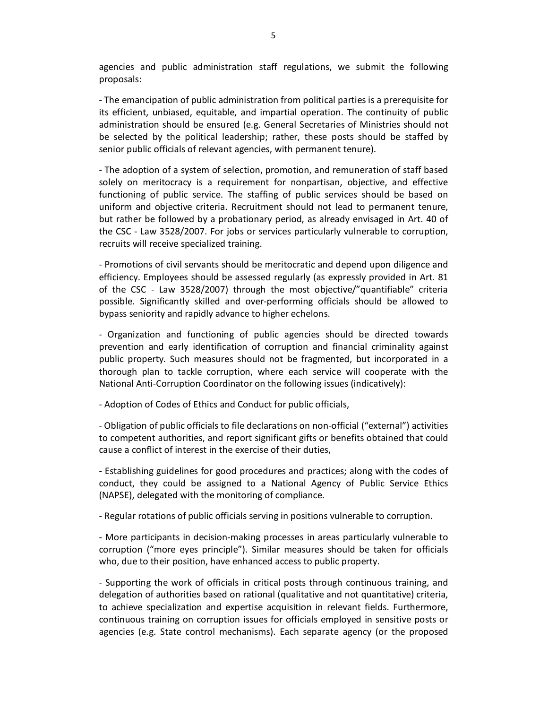agencies and public administration staff regulations, we submit the following proposals:

- The emancipation of public administration from political parties is a prerequisite for its efficient, unbiased, equitable, and impartial operation. The continuity of public administration should be ensured (e.g. General Secretaries of Ministries should not be selected by the political leadership; rather, these posts should be staffed by senior public officials of relevant agencies, with permanent tenure).

- The adoption of a system of selection, promotion, and remuneration of staff based solely on meritocracy is a requirement for nonpartisan, objective, and effective functioning of public service. The staffing of public services should be based on uniform and objective criteria. Recruitment should not lead to permanent tenure, but rather be followed by a probationary period, as already envisaged in Art. 40 of the CSC - Law 3528/2007. For jobs or services particularly vulnerable to corruption, recruits will receive specialized training.

- Promotions of civil servants should be meritocratic and depend upon diligence and efficiency. Employees should be assessed regularly (as expressly provided in Art. 81 of the CSC - Law 3528/2007) through the most objective/"quantifiable" criteria possible. Significantly skilled and over-performing officials should be allowed to bypass seniority and rapidly advance to higher echelons.

- Organization and functioning of public agencies should be directed towards prevention and early identification of corruption and financial criminality against public property. Such measures should not be fragmented, but incorporated in a thorough plan to tackle corruption, where each service will cooperate with the National Anti-Corruption Coordinator on the following issues (indicatively):

- Adoption of Codes of Ethics and Conduct for public officials,

- Obligation of public officials to file declarations on non-official ("external") activities to competent authorities, and report significant gifts or benefits obtained that could cause a conflict of interest in the exercise of their duties,

- Establishing guidelines for good procedures and practices; along with the codes of conduct, they could be assigned to a National Agency of Public Service Ethics (NAPSE), delegated with the monitoring of compliance.

- Regular rotations of public officials serving in positions vulnerable to corruption.

- More participants in decision-making processes in areas particularly vulnerable to corruption ("more eyes principle"). Similar measures should be taken for officials who, due to their position, have enhanced access to public property.

- Supporting the work of officials in critical posts through continuous training, and delegation of authorities based on rational (qualitative and not quantitative) criteria, to achieve specialization and expertise acquisition in relevant fields. Furthermore, continuous training on corruption issues for officials employed in sensitive posts or agencies (e.g. State control mechanisms). Each separate agency (or the proposed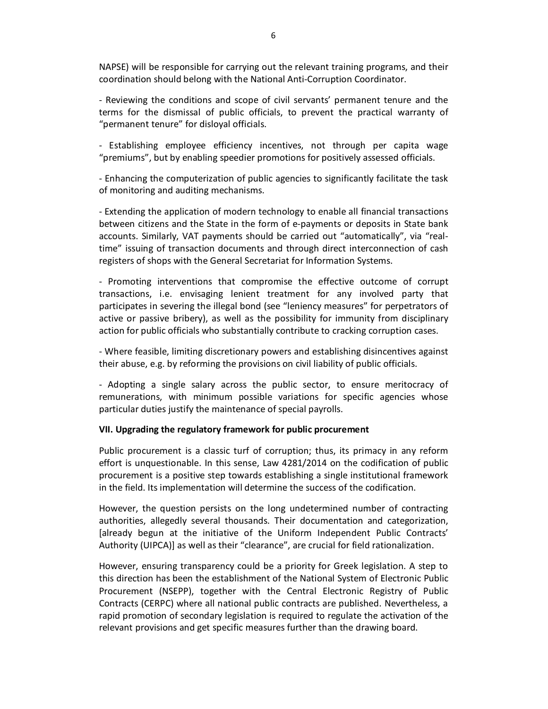NAPSE) will be responsible for carrying out the relevant training programs, and their coordination should belong with the National Anti-Corruption Coordinator.

- Reviewing the conditions and scope of civil servants' permanent tenure and the terms for the dismissal of public officials, to prevent the practical warranty of "permanent tenure" for disloyal officials.

- Establishing employee efficiency incentives, not through per capita wage "premiums", but by enabling speedier promotions for positively assessed officials.

- Enhancing the computerization of public agencies to significantly facilitate the task of monitoring and auditing mechanisms.

- Extending the application of modern technology to enable all financial transactions between citizens and the State in the form of e-payments or deposits in State bank accounts. Similarly, VAT payments should be carried out "automatically", via "realtime" issuing of transaction documents and through direct interconnection of cash registers of shops with the General Secretariat for Information Systems.

- Promoting interventions that compromise the effective outcome of corrupt transactions, i.e. envisaging lenient treatment for any involved party that participates in severing the illegal bond (see "leniency measures" for perpetrators of active or passive bribery), as well as the possibility for immunity from disciplinary action for public officials who substantially contribute to cracking corruption cases.

- Where feasible, limiting discretionary powers and establishing disincentives against their abuse, e.g. by reforming the provisions on civil liability of public officials.

- Adopting a single salary across the public sector, to ensure meritocracy of remunerations, with minimum possible variations for specific agencies whose particular duties justify the maintenance of special payrolls.

#### **VII. Upgrading the regulatory framework for public procurement**

Public procurement is a classic turf of corruption; thus, its primacy in any reform effort is unquestionable. In this sense, Law 4281/2014 on the codification of public procurement is a positive step towards establishing a single institutional framework in the field. Its implementation will determine the success of the codification.

However, the question persists on the long undetermined number of contracting authorities, allegedly several thousands. Their documentation and categorization, [already begun at the initiative of the Uniform Independent Public Contracts' Authority (UIPCA)] as well as their "clearance", are crucial for field rationalization.

However, ensuring transparency could be a priority for Greek legislation. A step to this direction has been the establishment of the National System of Electronic Public Procurement (NSEPP), together with the Central Electronic Registry of Public Contracts (CERPC) where all national public contracts are published. Nevertheless, a rapid promotion of secondary legislation is required to regulate the activation of the relevant provisions and get specific measures further than the drawing board.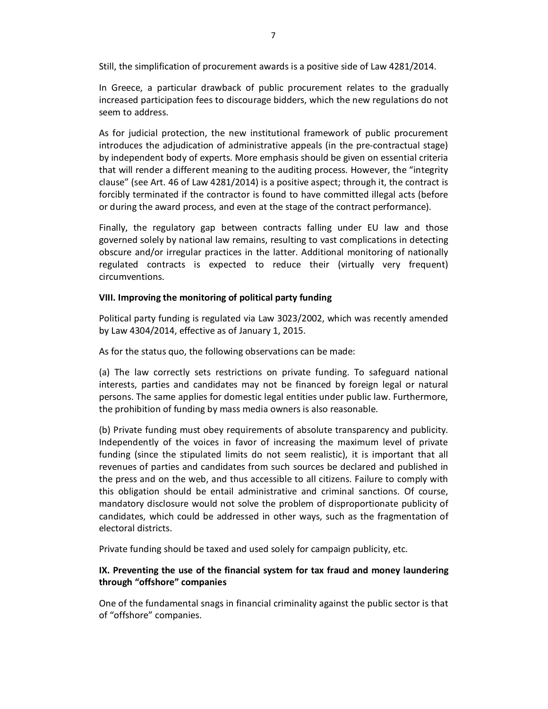Still, the simplification of procurement awards is a positive side of Law 4281/2014.

In Greece, a particular drawback of public procurement relates to the gradually increased participation fees to discourage bidders, which the new regulations do not seem to address.

As for judicial protection, the new institutional framework of public procurement introduces the adjudication of administrative appeals (in the pre-contractual stage) by independent body of experts. More emphasis should be given on essential criteria that will render a different meaning to the auditing process. However, the "integrity clause" (see Art. 46 of Law 4281/2014) is a positive aspect; through it, the contract is forcibly terminated if the contractor is found to have committed illegal acts (before or during the award process, and even at the stage of the contract performance).

Finally, the regulatory gap between contracts falling under EU law and those governed solely by national law remains, resulting to vast complications in detecting obscure and/or irregular practices in the latter. Additional monitoring of nationally regulated contracts is expected to reduce their (virtually very frequent) circumventions.

#### **VIII. Improving the monitoring of political party funding**

Political party funding is regulated via Law 3023/2002, which was recently amended by Law 4304/2014, effective as of January 1, 2015.

As for the status quo, the following observations can be made:

(a) The law correctly sets restrictions on private funding. To safeguard national interests, parties and candidates may not be financed by foreign legal or natural persons. The same applies for domestic legal entities under public law. Furthermore, the prohibition of funding by mass media owners is also reasonable.

(b) Private funding must obey requirements of absolute transparency and publicity. Independently of the voices in favor of increasing the maximum level of private funding (since the stipulated limits do not seem realistic), it is important that all revenues of parties and candidates from such sources be declared and published in the press and on the web, and thus accessible to all citizens. Failure to comply with this obligation should be entail administrative and criminal sanctions. Of course, mandatory disclosure would not solve the problem of disproportionate publicity of candidates, which could be addressed in other ways, such as the fragmentation of electoral districts.

Private funding should be taxed and used solely for campaign publicity, etc.

### **IX. Preventing the use of the financial system for tax fraud and money laundering through "offshore" companies**

One of the fundamental snags in financial criminality against the public sector is that of "offshore" companies.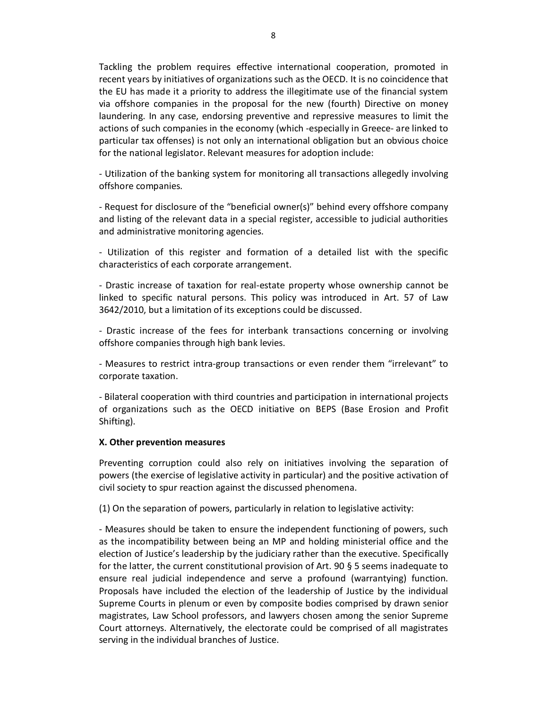Tackling the problem requires effective international cooperation, promoted in recent years by initiatives of organizations such as the OECD. It is no coincidence that the EU has made it a priority to address the illegitimate use of the financial system via offshore companies in the proposal for the new (fourth) Directive on money laundering. In any case, endorsing preventive and repressive measures to limit the actions of such companies in the economy (which -especially in Greece- are linked to particular tax offenses) is not only an international obligation but an obvious choice for the national legislator. Relevant measures for adoption include:

- Utilization of the banking system for monitoring all transactions allegedly involving offshore companies.

- Request for disclosure of the "beneficial owner(s)" behind every offshore company and listing of the relevant data in a special register, accessible to judicial authorities and administrative monitoring agencies.

- Utilization of this register and formation of a detailed list with the specific characteristics of each corporate arrangement.

- Drastic increase of taxation for real-estate property whose ownership cannot be linked to specific natural persons. This policy was introduced in Art. 57 of Law 3642/2010, but a limitation of its exceptions could be discussed.

- Drastic increase of the fees for interbank transactions concerning or involving offshore companies through high bank levies.

- Measures to restrict intra-group transactions or even render them "irrelevant" to corporate taxation.

- Bilateral cooperation with third countries and participation in international projects of organizations such as the OECD initiative on BEPS (Base Erosion and Profit Shifting).

#### **X. Other prevention measures**

Preventing corruption could also rely on initiatives involving the separation of powers (the exercise of legislative activity in particular) and the positive activation of civil society to spur reaction against the discussed phenomena.

(1) On the separation of powers, particularly in relation to legislative activity:

- Measures should be taken to ensure the independent functioning of powers, such as the incompatibility between being an MP and holding ministerial office and the election of Justice's leadership by the judiciary rather than the executive. Specifically for the latter, the current constitutional provision of Art. 90 § 5 seems inadequate to ensure real judicial independence and serve a profound (warrantying) function. Proposals have included the election of the leadership of Justice by the individual Supreme Courts in plenum or even by composite bodies comprised by drawn senior magistrates, Law School professors, and lawyers chosen among the senior Supreme Court attorneys. Alternatively, the electorate could be comprised of all magistrates serving in the individual branches of Justice.